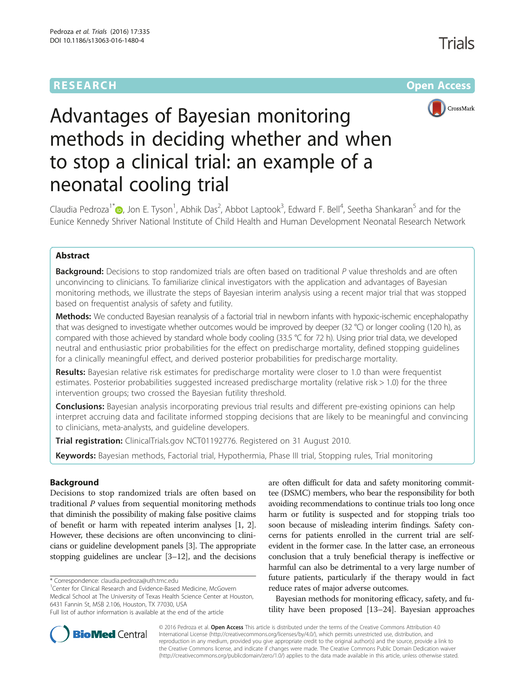## **RESEARCH CHE Open Access**



# Advantages of Bayesian monitoring methods in deciding whether and when to stop a clinical trial: an example of a neonatal cooling trial

Claudia Pedroza<sup>1\*</sup> D, Jon E. Tyson<sup>1</sup>, Abhik Das<sup>2</sup>, Abbot Laptook<sup>3</sup>, Edward F. Bell<sup>4</sup>, Seetha Shankaran<sup>5</sup> and for the Eunice Kennedy Shriver National Institute of Child Health and Human Development Neonatal Research Network

## Abstract

**Background:** Decisions to stop randomized trials are often based on traditional  $P$  value thresholds and are often unconvincing to clinicians. To familiarize clinical investigators with the application and advantages of Bayesian monitoring methods, we illustrate the steps of Bayesian interim analysis using a recent major trial that was stopped based on frequentist analysis of safety and futility.

Methods: We conducted Bayesian reanalysis of a factorial trial in newborn infants with hypoxic-ischemic encephalopathy that was designed to investigate whether outcomes would be improved by deeper (32 °C) or longer cooling (120 h), as compared with those achieved by standard whole body cooling (33.5 °C for 72 h). Using prior trial data, we developed neutral and enthusiastic prior probabilities for the effect on predischarge mortality, defined stopping guidelines for a clinically meaningful effect, and derived posterior probabilities for predischarge mortality.

Results: Bayesian relative risk estimates for predischarge mortality were closer to 1.0 than were frequentist estimates. Posterior probabilities suggested increased predischarge mortality (relative risk > 1.0) for the three intervention groups; two crossed the Bayesian futility threshold.

**Conclusions:** Bayesian analysis incorporating previous trial results and different pre-existing opinions can help interpret accruing data and facilitate informed stopping decisions that are likely to be meaningful and convincing to clinicians, meta-analysts, and guideline developers.

Trial registration: ClinicalTrials.gov [NCT01192776.](https://clinicaltrials.gov/show/NCT01192776) Registered on 31 August 2010.

Keywords: Bayesian methods, Factorial trial, Hypothermia, Phase III trial, Stopping rules, Trial monitoring

## Background

Decisions to stop randomized trials are often based on traditional  $P$  values from sequential monitoring methods that diminish the possibility of making false positive claims of benefit or harm with repeated interim analyses [[1](#page-9-0), [2](#page-9-0)]. However, these decisions are often unconvincing to clinicians or guideline development panels [[3\]](#page-9-0). The appropriate stopping guidelines are unclear [\[3](#page-9-0)–[12](#page-10-0)], and the decisions

\* Correspondence: [claudia.pedroza@uth.tmc.edu](mailto:claudia.pedroza@uth.tmc.edu) <sup>1</sup>

<sup>1</sup> Center for Clinical Research and Evidence-Based Medicine, McGovern Medical School at The University of Texas Health Science Center at Houston, 6431 Fannin St, MSB 2.106, Houston, TX 77030, USA Full list of author information is available at the end of the article

are often difficult for data and safety monitoring committee (DSMC) members, who bear the responsibility for both avoiding recommendations to continue trials too long once harm or futility is suspected and for stopping trials too soon because of misleading interim findings. Safety concerns for patients enrolled in the current trial are selfevident in the former case. In the latter case, an erroneous conclusion that a truly beneficial therapy is ineffective or harmful can also be detrimental to a very large number of future patients, particularly if the therapy would in fact reduce rates of major adverse outcomes.

Bayesian methods for monitoring efficacy, safety, and futility have been proposed [\[13](#page-10-0)–[24](#page-10-0)]. Bayesian approaches



© 2016 Pedroza et al. **Open Access** This article is distributed under the terms of the Creative Commons Attribution 4.0 International License [\(http://creativecommons.org/licenses/by/4.0/](http://creativecommons.org/licenses/by/4.0/)), which permits unrestricted use, distribution, and reproduction in any medium, provided you give appropriate credit to the original author(s) and the source, provide a link to the Creative Commons license, and indicate if changes were made. The Creative Commons Public Domain Dedication waiver [\(http://creativecommons.org/publicdomain/zero/1.0/](http://creativecommons.org/publicdomain/zero/1.0/)) applies to the data made available in this article, unless otherwise stated.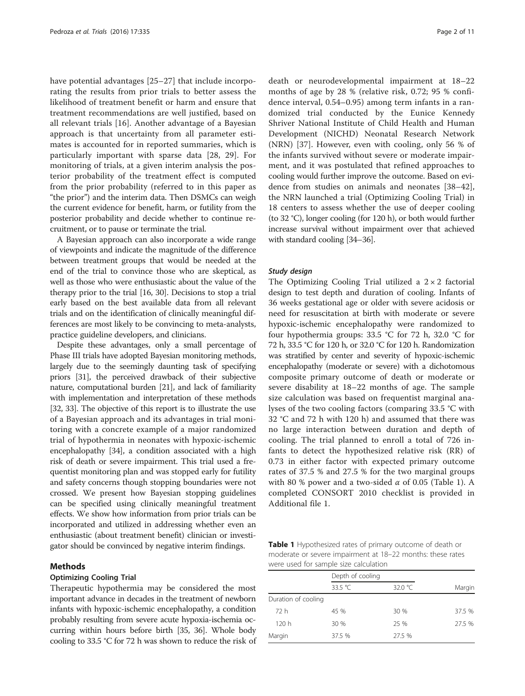have potential advantages [[25](#page-10-0)–[27\]](#page-10-0) that include incorporating the results from prior trials to better assess the likelihood of treatment benefit or harm and ensure that treatment recommendations are well justified, based on all relevant trials [[16\]](#page-10-0). Another advantage of a Bayesian approach is that uncertainty from all parameter estimates is accounted for in reported summaries, which is particularly important with sparse data [[28, 29\]](#page-10-0). For monitoring of trials, at a given interim analysis the posterior probability of the treatment effect is computed from the prior probability (referred to in this paper as "the prior") and the interim data. Then DSMCs can weigh the current evidence for benefit, harm, or futility from the posterior probability and decide whether to continue recruitment, or to pause or terminate the trial.

A Bayesian approach can also incorporate a wide range of viewpoints and indicate the magnitude of the difference between treatment groups that would be needed at the end of the trial to convince those who are skeptical, as well as those who were enthusiastic about the value of the therapy prior to the trial [[16](#page-10-0), [30](#page-10-0)]. Decisions to stop a trial early based on the best available data from all relevant trials and on the identification of clinically meaningful differences are most likely to be convincing to meta-analysts, practice guideline developers, and clinicians.

Despite these advantages, only a small percentage of Phase III trials have adopted Bayesian monitoring methods, largely due to the seemingly daunting task of specifying priors [[31](#page-10-0)], the perceived drawback of their subjective nature, computational burden [[21](#page-10-0)], and lack of familiarity with implementation and interpretation of these methods [[32](#page-10-0), [33\]](#page-10-0). The objective of this report is to illustrate the use of a Bayesian approach and its advantages in trial monitoring with a concrete example of a major randomized trial of hypothermia in neonates with hypoxic-ischemic encephalopathy [[34](#page-10-0)], a condition associated with a high risk of death or severe impairment. This trial used a frequentist monitoring plan and was stopped early for futility and safety concerns though stopping boundaries were not crossed. We present how Bayesian stopping guidelines can be specified using clinically meaningful treatment effects. We show how information from prior trials can be incorporated and utilized in addressing whether even an enthusiastic (about treatment benefit) clinician or investigator should be convinced by negative interim findings.

## Methods

#### Optimizing Cooling Trial

Therapeutic hypothermia may be considered the most important advance in decades in the treatment of newborn infants with hypoxic-ischemic encephalopathy, a condition probably resulting from severe acute hypoxia-ischemia occurring within hours before birth [\[35](#page-10-0), [36\]](#page-10-0). Whole body cooling to 33.5 °C for 72 h was shown to reduce the risk of death or neurodevelopmental impairment at 18–22 months of age by 28 % (relative risk, 0.72; 95 % confidence interval, 0.54–0.95) among term infants in a randomized trial conducted by the Eunice Kennedy Shriver National Institute of Child Health and Human Development (NICHD) Neonatal Research Network (NRN) [[37\]](#page-10-0). However, even with cooling, only 56 % of the infants survived without severe or moderate impairment, and it was postulated that refined approaches to cooling would further improve the outcome. Based on evidence from studies on animals and neonates [\[38](#page-10-0)–[42](#page-10-0)], the NRN launched a trial (Optimizing Cooling Trial) in 18 centers to assess whether the use of deeper cooling (to 32 °C), longer cooling (for 120 h), or both would further increase survival without impairment over that achieved with standard cooling [[34](#page-10-0)–[36\]](#page-10-0).

#### Study design

The Optimizing Cooling Trial utilized a  $2 \times 2$  factorial design to test depth and duration of cooling. Infants of 36 weeks gestational age or older with severe acidosis or need for resuscitation at birth with moderate or severe hypoxic-ischemic encephalopathy were randomized to four hypothermia groups: 33.5 °C for 72 h, 32.0 °C for 72 h, 33.5 °C for 120 h, or 32.0 °C for 120 h. Randomization was stratified by center and severity of hypoxic-ischemic encephalopathy (moderate or severe) with a dichotomous composite primary outcome of death or moderate or severe disability at 18–22 months of age. The sample size calculation was based on frequentist marginal analyses of the two cooling factors (comparing 33.5 °C with 32 °C and 72 h with 120 h) and assumed that there was no large interaction between duration and depth of cooling. The trial planned to enroll a total of 726 infants to detect the hypothesized relative risk (RR) of 0.73 in either factor with expected primary outcome rates of 37.5 % and 27.5 % for the two marginal groups with 80 % power and a two-sided  $\alpha$  of 0.05 (Table 1). A completed CONSORT 2010 checklist is provided in Additional file [1](#page-8-0).

Table 1 Hypothesized rates of primary outcome of death or moderate or severe impairment at 18–22 months: these rates were used for sample size calculation

|                     | Depth of cooling |         |        |
|---------------------|------------------|---------|--------|
|                     | 33.5 °C          | 32.0 °C | Margin |
| Duration of cooling |                  |         |        |
| 72 h                | 45 %             | 30%     | 37.5 % |
| 120h                | 30 %             | 25 %    | 27.5 % |
| Margin              | 37.5 %           | 27.5 %  |        |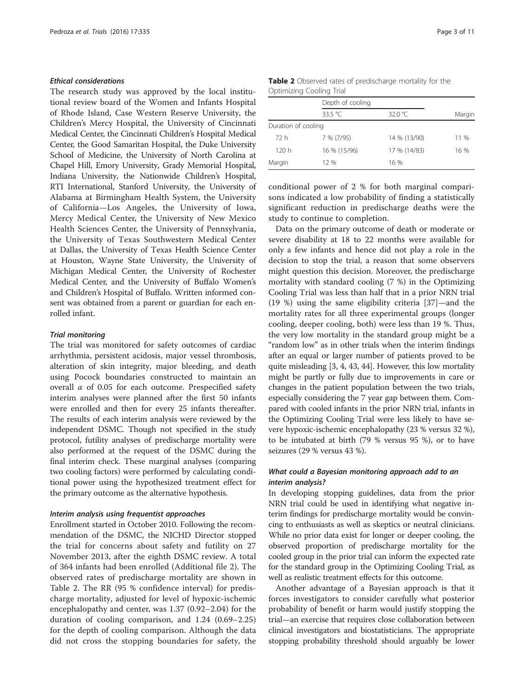### Ethical considerations

The research study was approved by the local institutional review board of the Women and Infants Hospital of Rhode Island, Case Western Reserve University, the Children's Mercy Hospital, the University of Cincinnati Medical Center, the Cincinnati Children's Hospital Medical Center, the Good Samaritan Hospital, the Duke University School of Medicine, the University of North Carolina at Chapel Hill, Emory University, Grady Memorial Hospital, Indiana University, the Nationwide Children's Hospital, RTI International, Stanford University, the University of Alabama at Birmingham Health System, the University of California—Los Angeles, the University of Iowa, Mercy Medical Center, the University of New Mexico Health Sciences Center, the University of Pennsylvania, the University of Texas Southwestern Medical Center at Dallas, the University of Texas Health Science Center at Houston, Wayne State University, the University of Michigan Medical Center, the University of Rochester Medical Center, and the University of Buffalo Women's and Children's Hospital of Buffalo. Written informed consent was obtained from a parent or guardian for each enrolled infant.

#### Trial monitoring

The trial was monitored for safety outcomes of cardiac arrhythmia, persistent acidosis, major vessel thrombosis, alteration of skin integrity, major bleeding, and death using Pocock boundaries constructed to maintain an overall  $\alpha$  of 0.05 for each outcome. Prespecified safety interim analyses were planned after the first 50 infants were enrolled and then for every 25 infants thereafter. The results of each interim analysis were reviewed by the independent DSMC. Though not specified in the study protocol, futility analyses of predischarge mortality were also performed at the request of the DSMC during the final interim check. These marginal analyses (comparing two cooling factors) were performed by calculating conditional power using the hypothesized treatment effect for the primary outcome as the alternative hypothesis.

#### Interim analysis using frequentist approaches

Enrollment started in October 2010. Following the recommendation of the DSMC, the NICHD Director stopped the trial for concerns about safety and futility on 27 November 2013, after the eighth DSMC review. A total of 364 infants had been enrolled (Additional file [2\)](#page-8-0). The observed rates of predischarge mortality are shown in Table 2. The RR (95 % confidence interval) for predischarge mortality, adjusted for level of hypoxic-ischemic encephalopathy and center, was 1.37 (0.92–2.04) for the duration of cooling comparison, and 1.24 (0.69–2.25) for the depth of cooling comparison. Although the data did not cross the stopping boundaries for safety, the

| <b>Table 2</b> Observed rates of predischarge mortality for the |  |  |
|-----------------------------------------------------------------|--|--|
| Optimizing Cooling Trial                                        |  |  |

| Depth of cooling |                     |        |
|------------------|---------------------|--------|
| 33.5 °C          | 32.0 °C             | Margin |
|                  |                     |        |
| 7 % (7/95)       | 14 % (13/90)        | 11 %   |
| 16 % (15/96)     | 17 % (14/83)        | 16 %   |
| 12%              | 16 %                |        |
|                  | Duration of cooling |        |

conditional power of 2 % for both marginal comparisons indicated a low probability of finding a statistically significant reduction in predischarge deaths were the study to continue to completion.

Data on the primary outcome of death or moderate or severe disability at 18 to 22 months were available for only a few infants and hence did not play a role in the decision to stop the trial, a reason that some observers might question this decision. Moreover, the predischarge mortality with standard cooling (7 %) in the Optimizing Cooling Trial was less than half that in a prior NRN trial (19 %) using the same eligibility criteria [\[37\]](#page-10-0)—and the mortality rates for all three experimental groups (longer cooling, deeper cooling, both) were less than 19 %. Thus, the very low mortality in the standard group might be a "random low" as in other trials when the interim findings after an equal or larger number of patients proved to be quite misleading [\[3](#page-9-0), [4,](#page-9-0) [43](#page-10-0), [44\]](#page-10-0). However, this low mortality might be partly or fully due to improvements in care or changes in the patient population between the two trials, especially considering the 7 year gap between them. Compared with cooled infants in the prior NRN trial, infants in the Optimizing Cooling Trial were less likely to have severe hypoxic-ischemic encephalopathy (23 % versus 32 %), to be intubated at birth (79 % versus 95 %), or to have seizures (29 % versus 43 %).

## What could a Bayesian monitoring approach add to an interim analysis?

In developing stopping guidelines, data from the prior NRN trial could be used in identifying what negative interim findings for predischarge mortality would be convincing to enthusiasts as well as skeptics or neutral clinicians. While no prior data exist for longer or deeper cooling, the observed proportion of predischarge mortality for the cooled group in the prior trial can inform the expected rate for the standard group in the Optimizing Cooling Trial, as well as realistic treatment effects for this outcome.

Another advantage of a Bayesian approach is that it forces investigators to consider carefully what posterior probability of benefit or harm would justify stopping the trial—an exercise that requires close collaboration between clinical investigators and biostatisticians. The appropriate stopping probability threshold should arguably be lower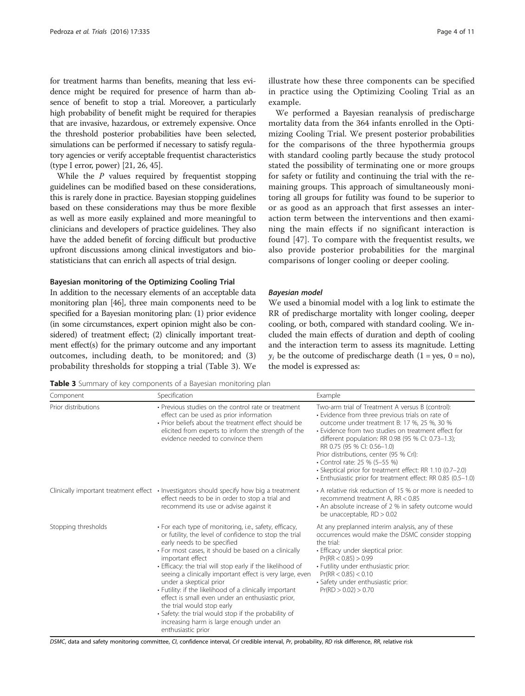for treatment harms than benefits, meaning that less evidence might be required for presence of harm than absence of benefit to stop a trial. Moreover, a particularly high probability of benefit might be required for therapies that are invasive, hazardous, or extremely expensive. Once the threshold posterior probabilities have been selected, simulations can be performed if necessary to satisfy regulatory agencies or verify acceptable frequentist characteristics (type I error, power) [[21](#page-10-0), [26](#page-10-0), [45](#page-10-0)].

While the  $P$  values required by frequentist stopping guidelines can be modified based on these considerations, this is rarely done in practice. Bayesian stopping guidelines based on these considerations may thus be more flexible as well as more easily explained and more meaningful to clinicians and developers of practice guidelines. They also have the added benefit of forcing difficult but productive upfront discussions among clinical investigators and biostatisticians that can enrich all aspects of trial design.

#### Bayesian monitoring of the Optimizing Cooling Trial

In addition to the necessary elements of an acceptable data monitoring plan [\[46\]](#page-10-0), three main components need to be specified for a Bayesian monitoring plan: (1) prior evidence (in some circumstances, expert opinion might also be considered) of treatment effect; (2) clinically important treatment effect(s) for the primary outcome and any important outcomes, including death, to be monitored; and (3) probability thresholds for stopping a trial (Table 3). We illustrate how these three components can be specified in practice using the Optimizing Cooling Trial as an example.

We performed a Bayesian reanalysis of predischarge mortality data from the 364 infants enrolled in the Optimizing Cooling Trial. We present posterior probabilities for the comparisons of the three hypothermia groups with standard cooling partly because the study protocol stated the possibility of terminating one or more groups for safety or futility and continuing the trial with the remaining groups. This approach of simultaneously monitoring all groups for futility was found to be superior to or as good as an approach that first assesses an interaction term between the interventions and then examining the main effects if no significant interaction is found [[47\]](#page-10-0). To compare with the frequentist results, we also provide posterior probabilities for the marginal comparisons of longer cooling or deeper cooling.

## Bayesian model

We used a binomial model with a log link to estimate the RR of predischarge mortality with longer cooling, deeper cooling, or both, compared with standard cooling. We included the main effects of duration and depth of cooling and the interaction term to assess its magnitude. Letting  $y_i$  be the outcome of predischarge death (1 = yes, 0 = no), the model is expressed as:

Table 3 Summary of key components of a Bayesian monitoring plan

| Component           | Specification                                                                                                                                                                                                                                                                                                                                                                                                                                                                                                                                                                                                                                            | Example                                                                                                                                                                                                                                                                                                                                                                                                                                                                                                  |
|---------------------|----------------------------------------------------------------------------------------------------------------------------------------------------------------------------------------------------------------------------------------------------------------------------------------------------------------------------------------------------------------------------------------------------------------------------------------------------------------------------------------------------------------------------------------------------------------------------------------------------------------------------------------------------------|----------------------------------------------------------------------------------------------------------------------------------------------------------------------------------------------------------------------------------------------------------------------------------------------------------------------------------------------------------------------------------------------------------------------------------------------------------------------------------------------------------|
| Prior distributions | • Previous studies on the control rate or treatment<br>effect can be used as prior information<br>• Prior beliefs about the treatment effect should be<br>elicited from experts to inform the strength of the<br>evidence needed to convince them                                                                                                                                                                                                                                                                                                                                                                                                        | Two-arm trial of Treatment A versus B (control):<br>• Evidence from three previous trials on rate of<br>outcome under treatment B: 17 %, 25 %, 30 %<br>• Evidence from two studies on treatment effect for<br>different population: RR 0.98 (95 % CI: 0.73-1.3);<br>RR 0.75 (95 % CI: 0.56-1.0)<br>Prior distributions, center (95 % Crl):<br>• Control rate: 25 % (5-55 %)<br>• Skeptical prior for treatment effect: RR 1.10 (0.7-2.0)<br>· Enthusiastic prior for treatment effect: RR 0.85 (0.5-1.0) |
|                     | Clinically important treatment effect $\cdot$ Investigators should specify how big a treatment<br>effect needs to be in order to stop a trial and<br>recommend its use or advise against it                                                                                                                                                                                                                                                                                                                                                                                                                                                              | • A relative risk reduction of 15 % or more is needed to<br>recommend treatment A, RR < 0.85<br>• An absolute increase of 2 % in safety outcome would<br>be unacceptable, $RD > 0.02$                                                                                                                                                                                                                                                                                                                    |
| Stopping thresholds | · For each type of monitoring, i.e., safety, efficacy,<br>or futility, the level of confidence to stop the trial<br>early needs to be specified<br>• For most cases, it should be based on a clinically<br>important effect<br>• Efficacy: the trial will stop early if the likelihood of<br>seeing a clinically important effect is very large, even<br>under a skeptical prior<br>• Futility: if the likelihood of a clinically important<br>effect is small even under an enthusiastic prior,<br>the trial would stop early<br>• Safety: the trial would stop if the probability of<br>increasing harm is large enough under an<br>enthusiastic prior | At any preplanned interim analysis, any of these<br>occurrences would make the DSMC consider stopping<br>the trial:<br>· Efficacy under skeptical prior:<br>Pr(RR < 0.85) > 0.99<br>• Futility under enthusiastic prior:<br>Pr(RR < 0.85) < 0.10<br>· Safety under enthusiastic prior:<br>Pr(RD > 0.02) > 0.70                                                                                                                                                                                           |

DSMC, data and safety monitoring committee, CI, confidence interval, CrI credible interval, Pr, probability, RD risk difference, RR, relative risk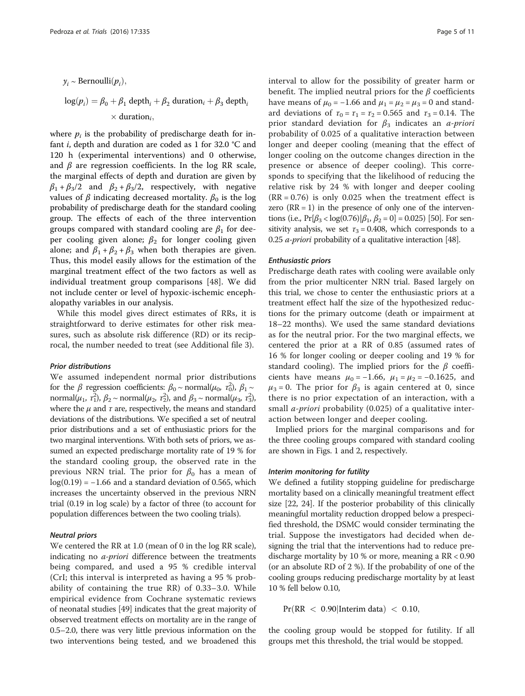$y_i$  ∼ Bernoulli $(p_i)$ ,

 $log(p_i) = \beta_0 + \beta_1$  depth<sub>i</sub> +  $\beta_2$  duration<sub>i</sub> +  $\beta_3$  depth<sub>i</sub>  $\times$  duration<sub>i</sub>,

where  $p_i$  is the probability of predischarge death for infant *i*, depth and duration are coded as 1 for 32.0  $\degree$ C and 120 h (experimental interventions) and 0 otherwise, and  $\beta$  are regression coefficients. In the log RR scale, the marginal effects of depth and duration are given by  $\beta_1 + \beta_3/2$  and  $\beta_2 + \beta_3/2$ , respectively, with negative values of  $\beta$  indicating decreased mortality.  $\beta_0$  is the log probability of predischarge death for the standard cooling group. The effects of each of the three intervention groups compared with standard cooling are  $\beta_1$  for deeper cooling given alone;  $\beta_2$  for longer cooling given alone; and  $\beta_1 + \beta_2 + \beta_3$  when both therapies are given. Thus, this model easily allows for the estimation of the marginal treatment effect of the two factors as well as individual treatment group comparisons [[48\]](#page-10-0). We did not include center or level of hypoxic-ischemic encephalopathy variables in our analysis.

While this model gives direct estimates of RRs, it is straightforward to derive estimates for other risk measures, such as absolute risk difference (RD) or its reciprocal, the number needed to treat (see Additional file [3\)](#page-8-0).

#### Prior distributions

We assumed independent normal prior distributions for the  $\beta$  regression coefficients:  $\beta_0 \sim \text{normal}(\mu_0, \tau_0^2)$ ,  $\beta_1 \sim$ normal $(\mu_1, \tau_1^2), \beta_2 \sim \text{normal}(\mu_2, \tau_2^2)$ , and  $\beta_3 \sim \text{normal}(\mu_3, \tau_3^2)$ , where the  $\mu$  and  $\tau$  are, respectively, the means and standard deviations of the distributions. We specified a set of neutral prior distributions and a set of enthusiastic priors for the two marginal interventions. With both sets of priors, we assumed an expected predischarge mortality rate of 19 % for the standard cooling group, the observed rate in the previous NRN trial. The prior for  $\beta_0$  has a mean of  $log(0.19) = -1.66$  and a standard deviation of 0.565, which increases the uncertainty observed in the previous NRN trial (0.19 in log scale) by a factor of three (to account for population differences between the two cooling trials).

#### Neutral priors

We centered the RR at 1.0 (mean of 0 in the log RR scale), indicating no *a-priori* difference between the treatments being compared, and used a 95 % credible interval (CrI; this interval is interpreted as having a 95 % probability of containing the true RR) of 0.33–3.0. While empirical evidence from Cochrane systematic reviews of neonatal studies [\[49](#page-10-0)] indicates that the great majority of observed treatment effects on mortality are in the range of 0.5–2.0, there was very little previous information on the two interventions being tested, and we broadened this interval to allow for the possibility of greater harm or benefit. The implied neutral priors for the  $\beta$  coefficients have means of  $\mu_0 = -1.66$  and  $\mu_1 = \mu_2 = \mu_3 = 0$  and standard deviations of  $\tau_0 = \tau_1 = \tau_2 = 0.565$  and  $\tau_3 = 0.14$ . The prior standard deviation for  $\beta_3$  indicates an *a-priori* probability of 0.025 of a qualitative interaction between longer and deeper cooling (meaning that the effect of longer cooling on the outcome changes direction in the presence or absence of deeper cooling). This corresponds to specifying that the likelihood of reducing the relative risk by 24 % with longer and deeper cooling  $(RR = 0.76)$  is only 0.025 when the treatment effect is zero  $(RR = 1)$  in the presence of only one of the interventions (i.e.,  $Pr[\beta_3 < log(0.76)|\beta_1, \beta_2 = 0] = 0.025$ ) [[50](#page-10-0)]. For sensitivity analysis, we set  $\tau_3 = 0.408$ , which corresponds to a 0.25 a-priori probability of a qualitative interaction [\[48\]](#page-10-0).

#### Enthusiastic priors

Predischarge death rates with cooling were available only from the prior multicenter NRN trial. Based largely on this trial, we chose to center the enthusiastic priors at a treatment effect half the size of the hypothesized reductions for the primary outcome (death or impairment at 18–22 months). We used the same standard deviations as for the neutral prior. For the two marginal effects, we centered the prior at a RR of 0.85 (assumed rates of 16 % for longer cooling or deeper cooling and 19 % for standard cooling). The implied priors for the  $\beta$  coefficients have means  $\mu_0 = -1.66$ ,  $\mu_1 = \mu_2 = -0.1625$ , and  $\mu_3$  = 0. The prior for  $\beta_3$  is again centered at 0, since there is no prior expectation of an interaction, with a small *a-priori* probability (0.025) of a qualitative interaction between longer and deeper cooling.

Implied priors for the marginal comparisons and for the three cooling groups compared with standard cooling are shown in Figs. [1](#page-5-0) and [2,](#page-6-0) respectively.

#### Interim monitoring for futility

We defined a futility stopping guideline for predischarge mortality based on a clinically meaningful treatment effect size [\[22](#page-10-0), [24\]](#page-10-0). If the posterior probability of this clinically meaningful mortality reduction dropped below a prespecified threshold, the DSMC would consider terminating the trial. Suppose the investigators had decided when designing the trial that the interventions had to reduce predischarge mortality by 10 % or more, meaning a RR < 0.90 (or an absolute RD of 2 %). If the probability of one of the cooling groups reducing predischarge mortality by at least 10 % fell below 0.10,

 $Pr(RR < 0.90)$ Interim data $) < 0.10$ ;

the cooling group would be stopped for futility. If all groups met this threshold, the trial would be stopped.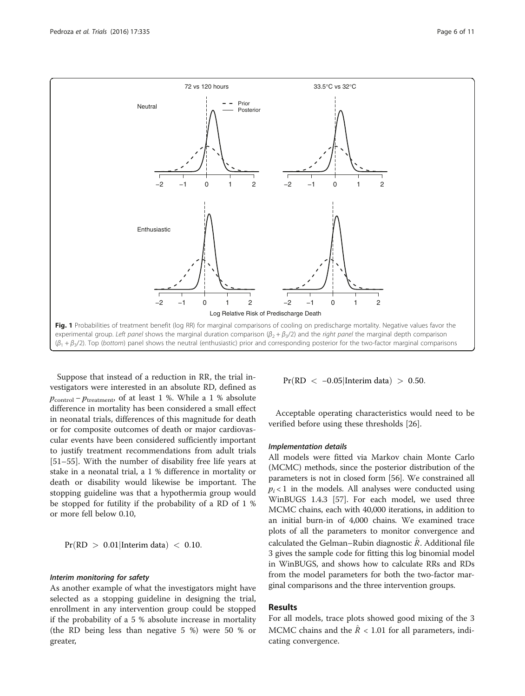<span id="page-5-0"></span>

Suppose that instead of a reduction in RR, the trial investigators were interested in an absolute RD, defined as  $p_{\text{control}} - p_{\text{treatment}}$  of at least 1 %. While a 1 % absolute difference in mortality has been considered a small effect in neonatal trials, differences of this magnitude for death or for composite outcomes of death or major cardiovascular events have been considered sufficiently important to justify treatment recommendations from adult trials [[51](#page-10-0)–[55](#page-10-0)]. With the number of disability free life years at stake in a neonatal trial, a 1 % difference in mortality or death or disability would likewise be important. The stopping guideline was that a hypothermia group would be stopped for futility if the probability of a RD of 1 % or more fell below 0.10,

 $Pr(RD > 0.01$ |Interim data $) < 0.10$ .

#### Interim monitoring for safety

As another example of what the investigators might have selected as a stopping guideline in designing the trial, enrollment in any intervention group could be stopped if the probability of a 5 % absolute increase in mortality (the RD being less than negative 5 %) were 50 % or greater,

 $Pr(RD < -0.05$ |Interim data $) > 0.50$ .

Acceptable operating characteristics would need to be verified before using these thresholds [[26](#page-10-0)].

## Implementation details

All models were fitted via Markov chain Monte Carlo (MCMC) methods, since the posterior distribution of the parameters is not in closed form [[56](#page-10-0)]. We constrained all  $p_i$  < 1 in the models. All analyses were conducted using WinBUGS 1.4.3 [\[57](#page-10-0)]. For each model, we used three MCMC chains, each with 40,000 iterations, in addition to an initial burn-in of 4,000 chains. We examined trace plots of all the parameters to monitor convergence and calculated the Gelman–Rubin diagnostic  $\hat{R}$ . Additional file [3](#page-8-0) gives the sample code for fitting this log binomial model in WinBUGS, and shows how to calculate RRs and RDs from the model parameters for both the two-factor marginal comparisons and the three intervention groups.

#### **Results**

For all models, trace plots showed good mixing of the 3 MCMC chains and the  $\ddot{R}$  < 1.01 for all parameters, indicating convergence.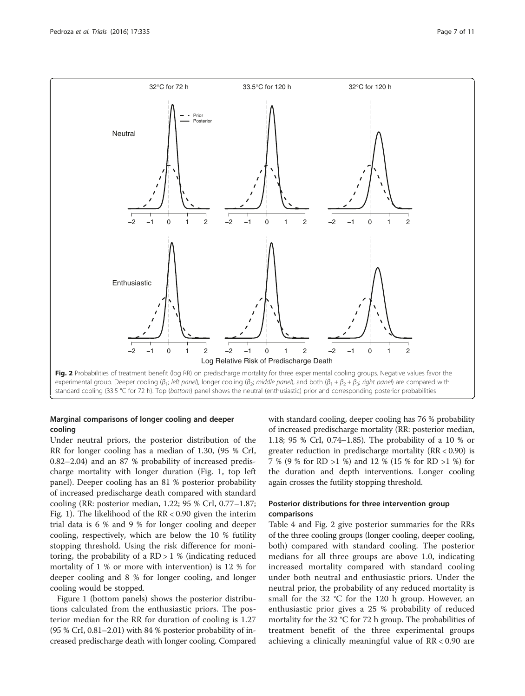<span id="page-6-0"></span>

## Marginal comparisons of longer cooling and deeper cooling

Under neutral priors, the posterior distribution of the RR for longer cooling has a median of 1.30, (95 % CrI, 0.82–2.04) and an 87 % probability of increased predischarge mortality with longer duration (Fig. [1,](#page-5-0) top left panel). Deeper cooling has an 81 % posterior probability of increased predischarge death compared with standard cooling (RR: posterior median, 1.22; 95 % CrI, 0.77–1.87; Fig. [1](#page-5-0)). The likelihood of the RR < 0.90 given the interim trial data is 6 % and 9 % for longer cooling and deeper cooling, respectively, which are below the 10 % futility stopping threshold. Using the risk difference for monitoring, the probability of a  $RD > 1$  % (indicating reduced mortality of 1 % or more with intervention) is 12 % for deeper cooling and 8 % for longer cooling, and longer cooling would be stopped.

Figure [1](#page-5-0) (bottom panels) shows the posterior distributions calculated from the enthusiastic priors. The posterior median for the RR for duration of cooling is 1.27  $(95 % CrI, 0.81–2.01)$  with 84 % posterior probability of increased predischarge death with longer cooling. Compared with standard cooling, deeper cooling has 76 % probability of increased predischarge mortality (RR: posterior median, 1.18; 95 % CrI, 0.74–1.85). The probability of a 10 % or greater reduction in predischarge mortality (RR < 0.90) is 7 % (9 % for RD >1 %) and 12 % (15 % for RD >1 %) for the duration and depth interventions. Longer cooling again crosses the futility stopping threshold.

## Posterior distributions for three intervention group comparisons

Table [4](#page-7-0) and Fig. 2 give posterior summaries for the RRs of the three cooling groups (longer cooling, deeper cooling, both) compared with standard cooling. The posterior medians for all three groups are above 1.0, indicating increased mortality compared with standard cooling under both neutral and enthusiastic priors. Under the neutral prior, the probability of any reduced mortality is small for the 32 °C for the 120 h group. However, an enthusiastic prior gives a 25 % probability of reduced mortality for the 32 °C for 72 h group. The probabilities of treatment benefit of the three experimental groups achieving a clinically meaningful value of RR < 0.90 are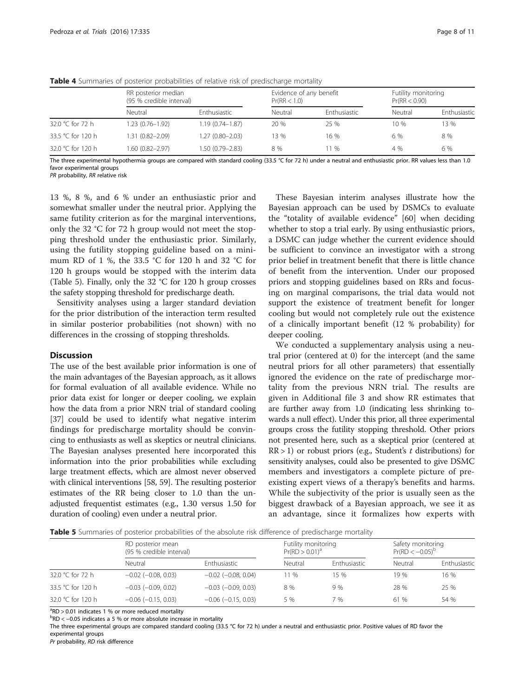| Page 8 of |  |
|-----------|--|
|-----------|--|

|                   | RR posterior median<br>(95 % credible interval) |                     | Evidence of any benefit<br>Pr(RR < 1.0) |              | Futility monitoring<br>Pr(RR < 0.90) |              |
|-------------------|-------------------------------------------------|---------------------|-----------------------------------------|--------------|--------------------------------------|--------------|
|                   | Neutral                                         | <b>Enthusiastic</b> | Neutral                                 | Enthusiastic | Neutral                              | Enthusiastic |
| 32.0 °C for 72 h  | $1.23(0.76 - 1.92)$                             | $1.19(0.74 - 1.87)$ | 20 %                                    | 25 %         | 10 %                                 | 13 %         |
| 33.5 °C for 120 h | 1.31 (0.82-2.09)                                | 1.27 (0.80-2.03)    | 13 %                                    | 16 %         | 6 %                                  | 8%           |
| 32.0 ℃ for 120 h  | 1.60 (0.82-2.97)                                | 1.50 (0.79-2.83)    | 8 %                                     | 11 %         | 4 %                                  | 6 %          |

<span id="page-7-0"></span>Table 4 Summaries of posterior probabilities of relative risk of predischarge mortality

The three experimental hypothermia groups are compared with standard cooling (33.5 °C for 72 h) under a neutral and enthusiastic prior. RR values less than 1.0 favor experimental groups

PR probability, RR relative risk

13 %, 8 %, and 6 % under an enthusiastic prior and somewhat smaller under the neutral prior. Applying the same futility criterion as for the marginal interventions, only the 32 °C for 72 h group would not meet the stopping threshold under the enthusiastic prior. Similarly, using the futility stopping guideline based on a minimum RD of 1 %, the 33.5 °C for 120 h and 32 °C for 120 h groups would be stopped with the interim data (Table 5). Finally, only the 32 °C for 120 h group crosses the safety stopping threshold for predischarge death.

Sensitivity analyses using a larger standard deviation for the prior distribution of the interaction term resulted in similar posterior probabilities (not shown) with no differences in the crossing of stopping thresholds.

## **Discussion**

The use of the best available prior information is one of the main advantages of the Bayesian approach, as it allows for formal evaluation of all available evidence. While no prior data exist for longer or deeper cooling, we explain how the data from a prior NRN trial of standard cooling [[37](#page-10-0)] could be used to identify what negative interim findings for predischarge mortality should be convincing to enthusiasts as well as skeptics or neutral clinicians. The Bayesian analyses presented here incorporated this information into the prior probabilities while excluding large treatment effects, which are almost never observed with clinical interventions [\[58](#page-10-0), [59](#page-10-0)]. The resulting posterior estimates of the RR being closer to 1.0 than the unadjusted frequentist estimates (e.g., 1.30 versus 1.50 for duration of cooling) even under a neutral prior.

These Bayesian interim analyses illustrate how the Bayesian approach can be used by DSMCs to evaluate the "totality of available evidence" [\[60\]](#page-10-0) when deciding whether to stop a trial early. By using enthusiastic priors, a DSMC can judge whether the current evidence should be sufficient to convince an investigator with a strong prior belief in treatment benefit that there is little chance of benefit from the intervention. Under our proposed priors and stopping guidelines based on RRs and focusing on marginal comparisons, the trial data would not support the existence of treatment benefit for longer cooling but would not completely rule out the existence of a clinically important benefit (12 % probability) for deeper cooling.

We conducted a supplementary analysis using a neutral prior (centered at 0) for the intercept (and the same neutral priors for all other parameters) that essentially ignored the evidence on the rate of predischarge mortality from the previous NRN trial. The results are given in Additional file [3](#page-8-0) and show RR estimates that are further away from 1.0 (indicating less shrinking towards a null effect). Under this prior, all three experimental groups cross the futility stopping threshold. Other priors not presented here, such as a skeptical prior (centered at  $RR > 1$ ) or robust priors (e.g., Student's t distributions) for sensitivity analyses, could also be presented to give DSMC members and investigators a complete picture of preexisting expert views of a therapy's benefits and harms. While the subjectivity of the prior is usually seen as the biggest drawback of a Bayesian approach, we see it as an advantage, since it formalizes how experts with

**Table 5** Summaries of posterior probabilities of the absolute risk difference of predischarge mortality

|                   | RD posterior mean<br>(95 % credible interval) |                           | Futility monitoring<br>$Pr(RD > 0.01)^{d}$ |              | Safety monitoring<br>$Pr(RD < -0.05)^{b}$ |              |
|-------------------|-----------------------------------------------|---------------------------|--------------------------------------------|--------------|-------------------------------------------|--------------|
|                   | Neutral                                       | Enthusiastic              | Neutral                                    | Enthusiastic | Neutral                                   | Enthusiastic |
| 32.0 °C for 72 h  | $-0.02$ ( $-0.08$ , 0.03)                     | $-0.02$ ( $-0.08$ , 0.04) | 11 %                                       | 15%          | 19 %                                      | 16 %         |
| 33.5 °C for 120 h | $-0.03$ $(-0.09, 0.02)$                       | $-0.03$ $(-0.09, 0.03)$   | 8 %                                        | 9%           | 28 %                                      | 25 %         |
| 32.0 °C for 120 h | $-0.06$ ( $-0.15$ , 0.03)                     | $-0.06$ ( $-0.15$ , 0.03) | 5 %                                        | 7 %          | 61 %                                      | 54 %         |

<sup>a</sup>RD > 0.01 indicates 1 % or more reduced mortality

<sup>b</sup>RD < −0.05 indicates a 5 % or more absolute increase in mortality

The three experimental groups are compared standard cooling (33.5 °C for 72 h) under a neutral and enthusiastic prior. Positive values of RD favor the experimental groups

Pr probability, RD risk difference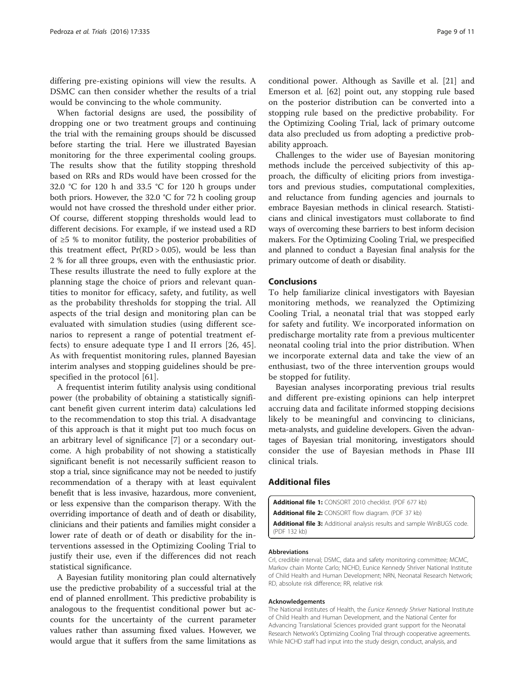<span id="page-8-0"></span>differing pre-existing opinions will view the results. A DSMC can then consider whether the results of a trial would be convincing to the whole community.

When factorial designs are used, the possibility of dropping one or two treatment groups and continuing the trial with the remaining groups should be discussed before starting the trial. Here we illustrated Bayesian monitoring for the three experimental cooling groups. The results show that the futility stopping threshold based on RRs and RDs would have been crossed for the 32.0 °C for 120 h and 33.5 °C for 120 h groups under both priors. However, the 32.0 °C for 72 h cooling group would not have crossed the threshold under either prior. Of course, different stopping thresholds would lead to different decisions. For example, if we instead used a RD of ≥5 % to monitor futility, the posterior probabilities of this treatment effect,  $Pr(RD > 0.05)$ , would be less than 2 % for all three groups, even with the enthusiastic prior. These results illustrate the need to fully explore at the planning stage the choice of priors and relevant quantities to monitor for efficacy, safety, and futility, as well as the probability thresholds for stopping the trial. All aspects of the trial design and monitoring plan can be evaluated with simulation studies (using different scenarios to represent a range of potential treatment effects) to ensure adequate type I and II errors [[26, 45](#page-10-0)]. As with frequentist monitoring rules, planned Bayesian interim analyses and stopping guidelines should be prespecified in the protocol [\[61](#page-10-0)].

A frequentist interim futility analysis using conditional power (the probability of obtaining a statistically significant benefit given current interim data) calculations led to the recommendation to stop this trial. A disadvantage of this approach is that it might put too much focus on an arbitrary level of significance [[7\]](#page-9-0) or a secondary outcome. A high probability of not showing a statistically significant benefit is not necessarily sufficient reason to stop a trial, since significance may not be needed to justify recommendation of a therapy with at least equivalent benefit that is less invasive, hazardous, more convenient, or less expensive than the comparison therapy. With the overriding importance of death and of death or disability, clinicians and their patients and families might consider a lower rate of death or of death or disability for the interventions assessed in the Optimizing Cooling Trial to justify their use, even if the differences did not reach statistical significance.

A Bayesian futility monitoring plan could alternatively use the predictive probability of a successful trial at the end of planned enrollment. This predictive probability is analogous to the frequentist conditional power but accounts for the uncertainty of the current parameter values rather than assuming fixed values. However, we would argue that it suffers from the same limitations as

conditional power. Although as Saville et al. [[21](#page-10-0)] and Emerson et al. [[62\]](#page-10-0) point out, any stopping rule based on the posterior distribution can be converted into a stopping rule based on the predictive probability. For the Optimizing Cooling Trial, lack of primary outcome data also precluded us from adopting a predictive probability approach.

Challenges to the wider use of Bayesian monitoring methods include the perceived subjectivity of this approach, the difficulty of eliciting priors from investigators and previous studies, computational complexities, and reluctance from funding agencies and journals to embrace Bayesian methods in clinical research. Statisticians and clinical investigators must collaborate to find ways of overcoming these barriers to best inform decision makers. For the Optimizing Cooling Trial, we prespecified and planned to conduct a Bayesian final analysis for the primary outcome of death or disability.

#### Conclusions

To help familiarize clinical investigators with Bayesian monitoring methods, we reanalyzed the Optimizing Cooling Trial, a neonatal trial that was stopped early for safety and futility. We incorporated information on predischarge mortality rate from a previous multicenter neonatal cooling trial into the prior distribution. When we incorporate external data and take the view of an enthusiast, two of the three intervention groups would be stopped for futility.

Bayesian analyses incorporating previous trial results and different pre-existing opinions can help interpret accruing data and facilitate informed stopping decisions likely to be meaningful and convincing to clinicians, meta-analysts, and guideline developers. Given the advantages of Bayesian trial monitoring, investigators should consider the use of Bayesian methods in Phase III clinical trials.

## Additional files

[Additional file 1:](dx.doi.org/10.1186/s13063-016-1480-4) CONSORT 2010 checklist. (PDF 677 kb) [Additional file 2:](dx.doi.org/10.1186/s13063-016-1480-4) CONSORT flow diagram. (PDF 37 kb) [Additional file 3:](dx.doi.org/10.1186/s13063-016-1480-4) Additional analysis results and sample WinBUGS code. (PDF 132 kb)

#### Abbreviations

CrI, credible interval; DSMC, data and safety monitoring committee; MCMC, Markov chain Monte Carlo; NICHD, Eunice Kennedy Shriver National Institute of Child Health and Human Development; NRN, Neonatal Research Network; RD, absolute risk difference; RR, relative risk

#### Acknowledgements

The National Institutes of Health, the Eunice Kennedy Shriver National Institute of Child Health and Human Development, and the National Center for Advancing Translational Sciences provided grant support for the Neonatal Research Network's Optimizing Cooling Trial through cooperative agreements. While NICHD staff had input into the study design, conduct, analysis, and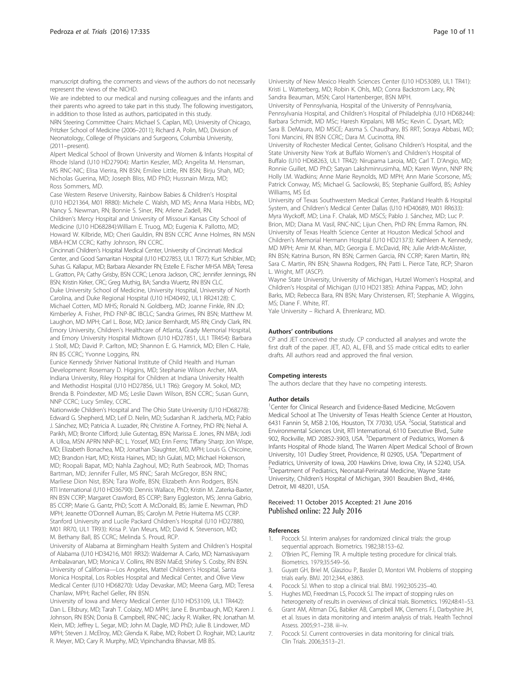<span id="page-9-0"></span>manuscript drafting, the comments and views of the authors do not necessarily represent the views of the NICHD.

We are indebted to our medical and nursing colleagues and the infants and their parents who agreed to take part in this study. The following investigators, in addition to those listed as authors, participated in this study.

NRN Steering Committee Chairs: Michael S. Caplan, MD, University of Chicago, Pritzker School of Medicine (2006–2011); Richard A. Polin, MD, Division of Neonatology, College of Physicians and Surgeons, Columbia University, (2011–present).

Alpert Medical School of Brown University and Women & Infants Hospital of Rhode Island (U10 HD27904): Martin Keszler, MD; Angelita M. Hensman, MS RNC-NIC; Elisa Vierira, RN BSN; Emilee Little, RN BSN; Birju Shah, MD; Nicholas Guerina, MD; Joseph Bliss, MD PhD; Hussnain Mirza, MD; Ross Sommers, MD.

Case Western Reserve University, Rainbow Babies & Children's Hospital (U10 HD21364, M01 RR80): Michele C. Walsh, MD MS; Anna Maria Hibbs, MD; Nancy S. Newman, RN; Bonnie S. Siner, RN; Arlene Zadell, RN.

Children's Mercy Hospital and University of Missouri Kansas City School of Medicine (U10 HD68284):William E. Truog, MD; Eugenia K. Pallotto, MD; Howard W. Kilbride, MD; Cheri Gauldin, RN BSN CCRC Anne Holmes, RN MSN MBA-HCM CCRC; Kathy Johnson, RN CCRC.

Cincinnati Children's Hospital Medical Center, University of Cincinnati Medical Center, and Good Samaritan Hospital (U10 HD27853, UL1 TR77): Kurt Schibler, MD; Suhas G. Kallapur, MD; Barbara Alexander RN; Estelle E. Fischer MHSA MBA; Teresa L. Gratton, PA; Cathy Grisby, BSN CCRC; Lenora Jackson, CRC; Jennifer Jennings, RN BSN; Kristin Kirker, CRC; Greg Muthig, BA; Sandra Wuertz, RN BSN CLC. Duke University School of Medicine, University Hospital, University of North Carolina, and Duke Regional Hospital (U10 HD40492, UL1 RR24128): C. Michael Cotten, MD MHS; Ronald N. Goldberg, MD; Joanne Finkle, RN JD; Kimberley A. Fisher, PhD FNP-BC IBCLC; Sandra Grimes, RN BSN; Matthew M. Laughon, MD MPH; Carl L. Bose, MD; Janice Bernhardt, MS RN; Cindy Clark, RN. Emory University, Children's Healthcare of Atlanta, Grady Memorial Hospital, and Emory University Hospital Midtown (U10 HD27851, UL1 TR454): Barbara J. Stoll, MD; David P. Carlton, MD; Shannon E. G. Hamrick, MD; Ellen C. Hale, RN BS CCRC; Yvonne Loggins, RN.

Eunice Kennedy Shriver National Institute of Child Health and Human Development: Rosemary D. Higgins, MD; Stephanie Wilson Archer, MA. Indiana University, Riley Hospital for Children at Indiana University Health and Methodist Hospital (U10 HD27856, UL1 TR6): Gregory M. Sokol, MD; Brenda B. Poindexter, MD MS; Leslie Dawn Wilson, BSN CCRC; Susan Gunn, NNP CCRC; Lucy Smiley, CCRC.

Nationwide Children's Hospital and The Ohio State University (U10 HD68278): Edward G. Shepherd, MD; Leif D. Nelin, MD; Sudarshan R. Jadcherla, MD; Pablo J. Sánchez, MD; Patricia A. Luzader, RN; Christine A. Fortney, PhD RN; Nehal A. Parikh, MD; Bronte Clifford; Julie Gutentag, BSN; Marissa E. Jones, RN MBA; Jodi A. Ulloa, MSN APRN NNP-BC; L. Yossef, MD; Erin Ferns; Tiffany Sharp; Jon Wispe, MD; Elizabeth Bonachea, MD; Jonathan Slaughter, MD, MPH; Louis G. Chicoine, MD; Brandon Hart, MD; Krista Haines, MD; Ish Gulati, MD; Michael Hokenson, MD; Roopali Bapat, MD; Nahla Zaghoul, MD; Ruth Seabrook, MD; Thomas Bartman, MD; Jennifer Fuller, MS RNC; Sarah McGregor, BSN RNC; Marliese Dion Nist, BSN; Tara Wolfe, BSN; Elizabeth Ann Rodgers, BSN. RTI International (U10 HD36790): Dennis Wallace, PhD; Kristin M. Zaterka-Baxter, RN BSN CCRP; Margaret Crawford, BS CCRP; Barry Eggleston, MS; Jenna Gabrio, BS CCRP; Marie G. Gantz, PhD; Scott A. McDonald, BS; Jamie E. Newman, PhD MPH; Jeanette O'Donnell Auman, BS; Carolyn M. Petrie Huitema MS CCRP. Stanford University and Lucile Packard Children's Hospital (U10 HD27880, M01 RR70, UL1 TR93): Krisa P. Van Meurs, MD; David K. Stevenson, MD; M. Bethany Ball, BS CCRC; Melinda S. Proud, RCP.

University of Alabama at Birmingham Health System and Children's Hospital of Alabama (U10 HD34216, M01 RR32): Waldemar A. Carlo, MD; Namasivayam Ambalavanan, MD; Monica V. Collins, RN BSN MaEd; Shirley S. Cosby, RN BSN. University of California—Los Angeles, Mattel Children's Hospital, Santa Monica Hospital, Los Robles Hospital and Medical Center, and Olive View Medical Center (U10 HD68270): Uday Devaskar, MD; Meena Garg, MD; Teresa Chanlaw, MPH; Rachel Geller, RN BSN.

University of Iowa and Mercy Medical Center (U10 HD53109, UL1 TR442): Dan L. Ellsbury, MD; Tarah T. Colaizy, MD MPH; Jane E. Brumbaugh, MD; Karen J. Johnson, RN BSN; Donia B. Campbell, RNC-NIC; Jacky R. Walker, RN; Jonathan M. Klein, MD; Jeffrey L. Segar, MD; John M. Dagle, MD PhD; Julie B. Lindower, MD MPH; Steven J. McElroy, MD; Glenda K. Rabe, MD; Robert D. Roghair, MD; Lauritz R. Meyer, MD; Cary R. Murphy, MD; Vipinchandra Bhavsar, MB BS.

University of New Mexico Health Sciences Center (U10 HD53089, UL1 TR41): Kristi L. Watterberg, MD; Robin K. Ohls, MD; Conra Backstrom Lacy, RN; Sandra Beauman, MSN; Carol Hartenberger, BSN MPH.

University of Pennsylvania, Hospital of the University of Pennsylvania, Pennsylvania Hospital, and Children's Hospital of Philadelphia (U10 HD68244): Barbara Schmidt, MD MSc; Haresh Kirpalani, MB MSc; Kevin C. Dysart, MD; Sara B. DeMauro, MD MSCE; Aasma S. Chaudhary, BS RRT; Soraya Abbasi, MD; Toni Mancini, RN BSN CCRC; Dara M. Cucinotta, RN.

University of Rochester Medical Center, Golisano Children's Hospital, and the State University New York at Buffalo Women's and Children's Hospital of Buffalo (U10 HD68263, UL1 TR42): Nirupama Laroia, MD; Carl T. D'Angio, MD; Ronnie Guillet, MD PhD; Satyan Lakshminrusimha, MD; Karen Wynn, NNP RN; Holly I.M. Wadkins; Anne Marie Reynolds, MD MPH; Ann Marie Scorsone, MS; Patrick Conway, MS; Michael G. Sacilowski, BS; Stephanie Guilford, BS; Ashley Williams, MS Ed.

University of Texas Southwestern Medical Center, Parkland Health & Hospital System, and Children's Medical Center Dallas (U10 HD40689, M01 RR633): Myra Wyckoff, MD; Lina F. Chalak, MD MSCS; Pablo J. Sánchez, MD; Luc P. Brion, MD; Diana M. Vasil, RNC-NIC; Lijun Chen, PhD RN; Emma Ramon, RN. University of Texas Health Science Center at Houston Medical School and Children's Memorial Hermann Hospital (U10 HD21373): Kathleen A. Kennedy, MD MPH; Amir M. Khan, MD; Georgia E. McDavid, RN; Julie Arldt-McAlister, RN BSN; Katrina Burson, RN BSN; Carmen Garcia, RN CCRP; Karen Martin, RN; Sara C. Martin, RN BSN; Shawna Rodgers, RN; Patti L. Pierce Tate, RCP; Sharon L. Wright, MT (ASCP).

Wayne State University, University of Michigan, Hutzel Women's Hospital, and Children's Hospital of Michigan (U10 HD21385): Athina Pappas, MD; John Barks, MD; Rebecca Bara, RN BSN; Mary Christensen, RT; Stephanie A. Wiggins, MS; Diane F. White, RT.

Yale University – Richard A. Ehrenkranz, MD.

#### Authors' contributions

CP and JET conceived the study. CP conducted all analyses and wrote the first draft of the paper. JET, AD, AL, EFB, and SS made critical edits to earlier drafts. All authors read and approved the final version.

#### Competing interests

The authors declare that they have no competing interests.

#### Author details

<sup>1</sup> Center for Clinical Research and Evidence-Based Medicine, McGovern Medical School at The University of Texas Health Science Center at Houston, 6431 Fannin St, MSB 2.106, Houston, TX 77030, USA. <sup>2</sup>Social, Statistical and Environmental Sciences Unit, RTI International, 6110 Executive Blvd., Suite 902, Rockville, MD 20852-3903, USA. <sup>3</sup>Department of Pediatrics, Women & Infants Hospital of Rhode Island, The Warren Alpert Medical School of Brown University, 101 Dudley Street, Providence, RI 02905, USA. <sup>4</sup> Department of Pediatrics, University of Iowa, 200 Hawkins Drive, Iowa City, IA 52240, USA. 5 Department of Pediatrics, Neonatal-Perinatal Medicine, Wayne State University, Children's Hospital of Michigan, 3901 Beaubien Blvd., 4H46, Detroit, MI 48201, USA.

#### Received: 11 October 2015 Accepted: 21 June 2016 Published online: 22 July 2016

#### References

- 1. Pocock SJ. Interim analyses for randomized clinical trials: the group sequential approach. Biometrics. 1982;38:153–62.
- 2. O'Brien PC, Fleming TR. A multiple testing procedure for clinical trials. Biometrics. 1979;35:549–56.
- 3. Guyatt GH, Briel M, Glasziou P, Bassler D, Montori VM. Problems of stopping trials early. BMJ. 2012;344, e3863.
- 4. Pocock SJ. When to stop a clinical trial. BMJ. 1992;305:235–40.
- Hughes MD, Freedman LS, Pocock SJ. The impact of stopping rules on heterogeneity of results in overviews of clinical trials. Biometrics. 1992;48:41–53.
- 6. Grant AM, Altman DG, Babiker AB, Campbell MK, Clemens FJ, Darbyshire JH, et al. Issues in data monitoring and interim analysis of trials. Health Technol Assess. 2005;9:1–238. iii–iv.
- 7. Pocock SJ. Current controversies in data monitoring for clinical trials. Clin Trials. 2006;3:513–21.